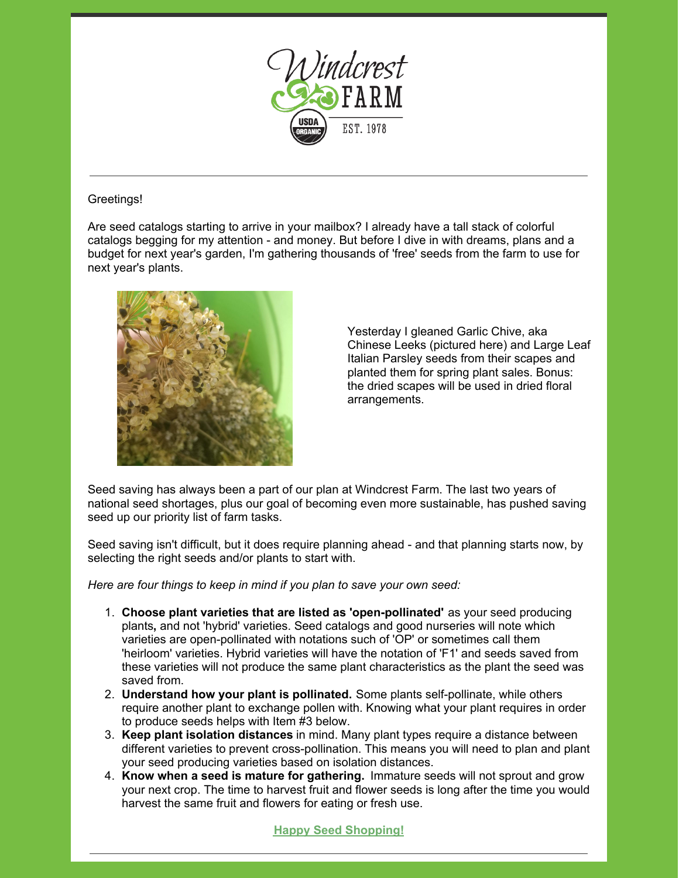

## Greetings!

Are seed catalogs starting to arrive in your mailbox? I already have a tall stack of colorful catalogs begging for my attention - and money. But before I dive in with dreams, plans and a budget for next year's garden, I'm gathering thousands of 'free' seeds from the farm to use for next year's plants.



Yesterday I gleaned Garlic Chive, aka Chinese Leeks (pictured here) and Large Leaf Italian Parsley seeds from their scapes and planted them for spring plant sales. Bonus: the dried scapes will be used in dried floral arrangements.

Seed saving has always been a part of our plan at Windcrest Farm. The last two years of national seed shortages, plus our goal of becoming even more sustainable, has pushed saving seed up our priority list of farm tasks.

Seed saving isn't difficult, but it does require planning ahead - and that planning starts now, by selecting the right seeds and/or plants to start with.

*Here are four things to keep in mind if you plan to save your own seed:*

- 1. **Choose plant varieties that are listed as 'open-pollinated'** as your seed producing plants**,** and not 'hybrid' varieties. Seed catalogs and good nurseries will note which varieties are open-pollinated with notations such of 'OP' or sometimes call them 'heirloom' varieties. Hybrid varieties will have the notation of 'F1' and seeds saved from these varieties will not produce the same plant characteristics as the plant the seed was saved from.
- 2. **Understand how your plant is pollinated.** Some plants self-pollinate, while others require another plant to exchange pollen with. Knowing what your plant requires in order to produce seeds helps with Item #3 below.
- 3. **Keep plant isolation distances** in mind. Many plant types require a distance between different varieties to prevent cross-pollination. This means you will need to plan and plant your seed producing varieties based on isolation distances.
- 4. **Know when a seed is mature for gathering.** Immature seeds will not sprout and grow your next crop. The time to harvest fruit and flower seeds is long after the time you would harvest the same fruit and flowers for eating or fresh use.

## **Happy Seed [Shopping!](https://store.windcrestorganics.com/Seeds-s/212.htm)**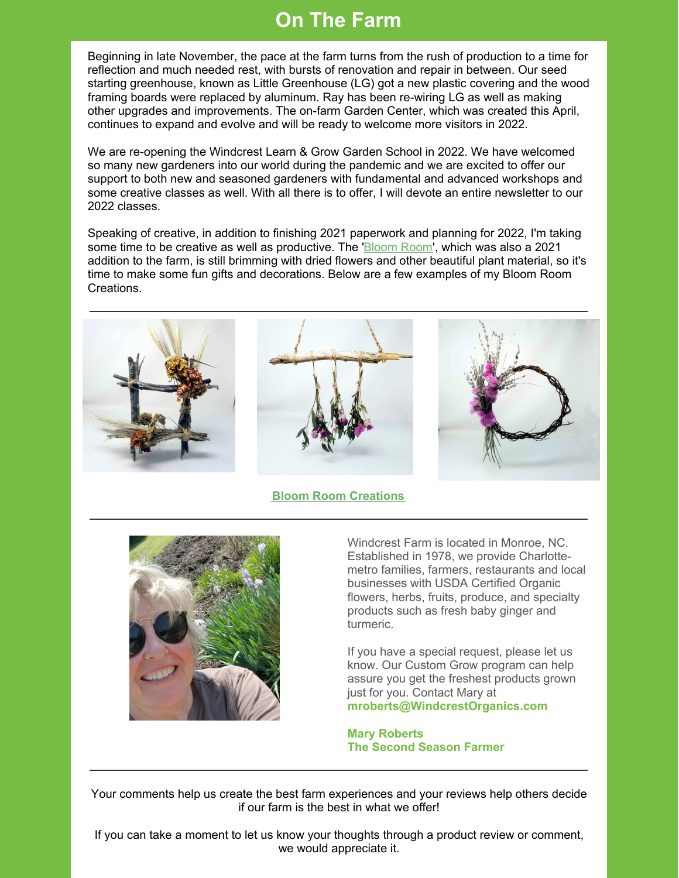## **On The Farm**

Beginning in late November, the pace at the farm turns from the rush of production to a time for reflection and much needed rest, with bursts of renovation and repair in between. Our seed starting greenhouse, known as Little Greenhouse (LG) got a new plastic covering and the wood framing boards were replaced by aluminum. Ray has been re-wiring LG as well as making other upgrades and improvements. The on-farm Garden Center, which was created this April, continues to expand and evolve and will be ready to welcome more visitors in 2022.

We are re-opening the Windcrest Learn & Grow Garden School in 2022. We have welcomed so many new gardeners into our world during the pandemic and we are excited to offer our support to both new and seasoned gardeners with fundamental and advanced workshops and some creative classes as well. With all there is to offer, I will devote an entire newsletter to our 2022 classes.

Speaking of creative, in addition to finishing 2021 paperwork and planning for 2022, I'm taking some time to be creative as well as productive. The ['Bloom](https://store.windcrestorganics.com/Farm-Crafts-s/258.htm) Room', which was also a 2021 addition to the farm, is still brimming with dried flowers and other beautiful plant material, so it's time to make some fun gifts and decorations. Below are a few examples of my Bloom Room **Creations** 



## **Bloom Room [Creations](https://store.windcrestorganics.com/Farm-Crafts-s/258.htm)**



Windcrest Farm is located in Monroe, NC. Established in 1978, we provide Charlottemetro families, farmers, restaurants and local businesses with USDA Certified Organic flowers, herbs, fruits, produce, and specialty products such as fresh baby ginger and turmeric.

If you have a special request, please let us know. Our Custom Grow program can help assure you get the freshest products grown just for you. Contact Mary at **[mroberts@WindcrestOrganics.com](mailto:mroberts@WindcrestOrganics.com)**

**Mary Roberts The Second Season Farmer**

Your comments help us create the best farm experiences and your reviews help others decide if our farm is the best in what we offer!

If you can take a moment to let us know your thoughts through a product review or comment, we would appreciate it.